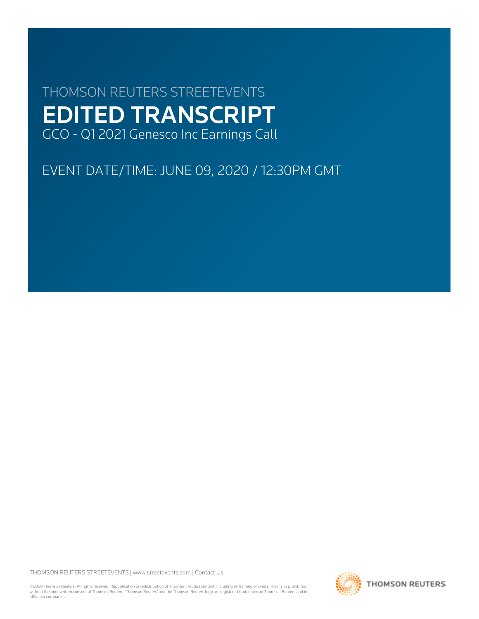# THOMSON REUTERS STREETEVENTS EDITED TRANSCRIPT GCO - Q1 2021 Genesco Inc Earnings Call

EVENT DATE/TIME: JUNE 09, 2020 / 12:30PM GMT

THOMSON REUTERS STREETEVENTS | [www.streetevents.com](http://www.streetevents.com) | [Contact Us](http://www010.streetevents.com/contact.asp)

©2020 Thomson Reuters. All rights reserved. Republication or redistribution of Thomson Reuters content, including by framing or similar means, is prohibited without the prior written consent of Thomson Reuters. 'Thomson Reuters' and the Thomson Reuters logo are registered trademarks of Thomson Reuters and its affiliated companies.

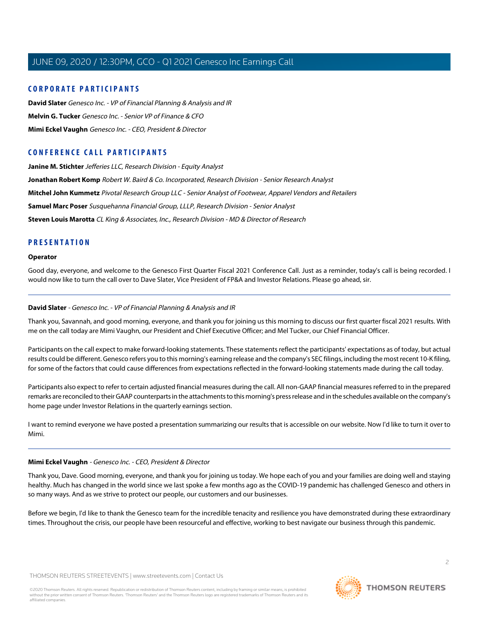## **CORPORATE PARTICIPANTS**

**[David Slater](#page-1-0)** Genesco Inc. - VP of Financial Planning & Analysis and IR **[Melvin G. Tucker](#page-4-0)** Genesco Inc. - Senior VP of Finance & CFO **[Mimi Eckel Vaughn](#page-1-1)** Genesco Inc. - CEO, President & Director

## **CONFERENCE CALL PARTICIPANTS**

**[Janine M. Stichter](#page-7-0)** Jefferies LLC, Research Division - Equity Analyst **[Jonathan Robert Komp](#page-11-0)** Robert W. Baird & Co. Incorporated, Research Division - Senior Research Analyst **[Mitchel John Kummetz](#page-8-0)** Pivotal Research Group LLC - Senior Analyst of Footwear, Apparel Vendors and Retailers **[Samuel Marc Poser](#page-10-0)** Susquehanna Financial Group, LLLP, Research Division - Senior Analyst **[Steven Louis Marotta](#page-6-0)** CL King & Associates, Inc., Research Division - MD & Director of Research

## **PRESENTATION**

## **Operator**

<span id="page-1-0"></span>Good day, everyone, and welcome to the Genesco First Quarter Fiscal 2021 Conference Call. Just as a reminder, today's call is being recorded. I would now like to turn the call over to Dave Slater, Vice President of FP&A and Investor Relations. Please go ahead, sir.

## **David Slater** - Genesco Inc. - VP of Financial Planning & Analysis and IR

Thank you, Savannah, and good morning, everyone, and thank you for joining us this morning to discuss our first quarter fiscal 2021 results. With me on the call today are Mimi Vaughn, our President and Chief Executive Officer; and Mel Tucker, our Chief Financial Officer.

Participants on the call expect to make forward-looking statements. These statements reflect the participants' expectations as of today, but actual results could be different. Genesco refers you to this morning's earning release and the company's SEC filings, including the most recent 10-K filing, for some of the factors that could cause differences from expectations reflected in the forward-looking statements made during the call today.

Participants also expect to refer to certain adjusted financial measures during the call. All non-GAAP financial measures referred to in the prepared remarks are reconciled to their GAAP counterparts in the attachments to this morning's press release and in the schedules available on the company's home page under Investor Relations in the quarterly earnings section.

<span id="page-1-1"></span>I want to remind everyone we have posted a presentation summarizing our results that is accessible on our website. Now I'd like to turn it over to Mimi.

## **Mimi Eckel Vaughn** - Genesco Inc. - CEO, President & Director

Thank you, Dave. Good morning, everyone, and thank you for joining us today. We hope each of you and your families are doing well and staying healthy. Much has changed in the world since we last spoke a few months ago as the COVID-19 pandemic has challenged Genesco and others in so many ways. And as we strive to protect our people, our customers and our businesses.

Before we begin, I'd like to thank the Genesco team for the incredible tenacity and resilience you have demonstrated during these extraordinary times. Throughout the crisis, our people have been resourceful and effective, working to best navigate our business through this pandemic.

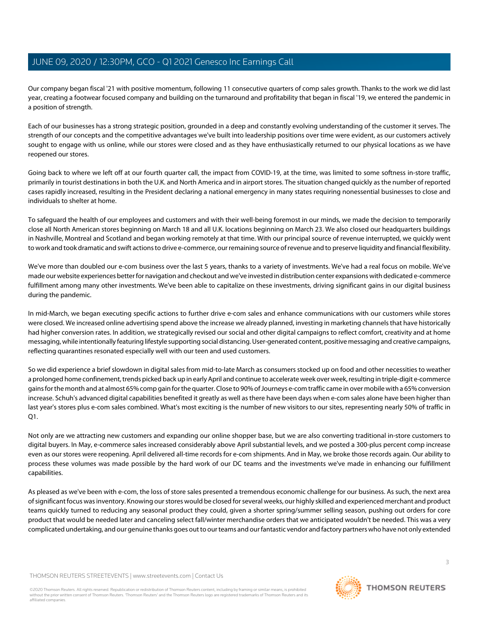Our company began fiscal '21 with positive momentum, following 11 consecutive quarters of comp sales growth. Thanks to the work we did last year, creating a footwear focused company and building on the turnaround and profitability that began in fiscal '19, we entered the pandemic in a position of strength.

Each of our businesses has a strong strategic position, grounded in a deep and constantly evolving understanding of the customer it serves. The strength of our concepts and the competitive advantages we've built into leadership positions over time were evident, as our customers actively sought to engage with us online, while our stores were closed and as they have enthusiastically returned to our physical locations as we have reopened our stores.

Going back to where we left off at our fourth quarter call, the impact from COVID-19, at the time, was limited to some softness in-store traffic, primarily in tourist destinations in both the U.K. and North America and in airport stores. The situation changed quickly as the number of reported cases rapidly increased, resulting in the President declaring a national emergency in many states requiring nonessential businesses to close and individuals to shelter at home.

To safeguard the health of our employees and customers and with their well-being foremost in our minds, we made the decision to temporarily close all North American stores beginning on March 18 and all U.K. locations beginning on March 23. We also closed our headquarters buildings in Nashville, Montreal and Scotland and began working remotely at that time. With our principal source of revenue interrupted, we quickly went to work and took dramatic and swift actions to drive e-commerce, our remaining source of revenue and to preserve liquidity and financial flexibility.

We've more than doubled our e-com business over the last 5 years, thanks to a variety of investments. We've had a real focus on mobile. We've made our website experiences better for navigation and checkout and we've invested in distribution center expansions with dedicated e-commerce fulfillment among many other investments. We've been able to capitalize on these investments, driving significant gains in our digital business during the pandemic.

In mid-March, we began executing specific actions to further drive e-com sales and enhance communications with our customers while stores were closed. We increased online advertising spend above the increase we already planned, investing in marketing channels that have historically had higher conversion rates. In addition, we strategically revised our social and other digital campaigns to reflect comfort, creativity and at home messaging, while intentionally featuring lifestyle supporting social distancing. User-generated content, positive messaging and creative campaigns, reflecting quarantines resonated especially well with our teen and used customers.

So we did experience a brief slowdown in digital sales from mid-to-late March as consumers stocked up on food and other necessities to weather a prolonged home confinement, trends picked back up in early April and continue to accelerate week over week, resulting in triple-digit e-commerce gains for the month and at almost 65% comp gain for the quarter. Close to 90% of Journeys e-com traffic came in over mobile with a 65% conversion increase. Schuh's advanced digital capabilities benefited it greatly as well as there have been days when e-com sales alone have been higher than last year's stores plus e-com sales combined. What's most exciting is the number of new visitors to our sites, representing nearly 50% of traffic in Q1.

Not only are we attracting new customers and expanding our online shopper base, but we are also converting traditional in-store customers to digital buyers. In May, e-commerce sales increased considerably above April substantial levels, and we posted a 300-plus percent comp increase even as our stores were reopening. April delivered all-time records for e-com shipments. And in May, we broke those records again. Our ability to process these volumes was made possible by the hard work of our DC teams and the investments we've made in enhancing our fulfillment capabilities.

As pleased as we've been with e-com, the loss of store sales presented a tremendous economic challenge for our business. As such, the next area of significant focus was inventory. Knowing our stores would be closed for several weeks, our highly skilled and experienced merchant and product teams quickly turned to reducing any seasonal product they could, given a shorter spring/summer selling season, pushing out orders for core product that would be needed later and canceling select fall/winter merchandise orders that we anticipated wouldn't be needed. This was a very complicated undertaking, and our genuine thanks goes out to our teams and our fantastic vendor and factory partners who have not only extended

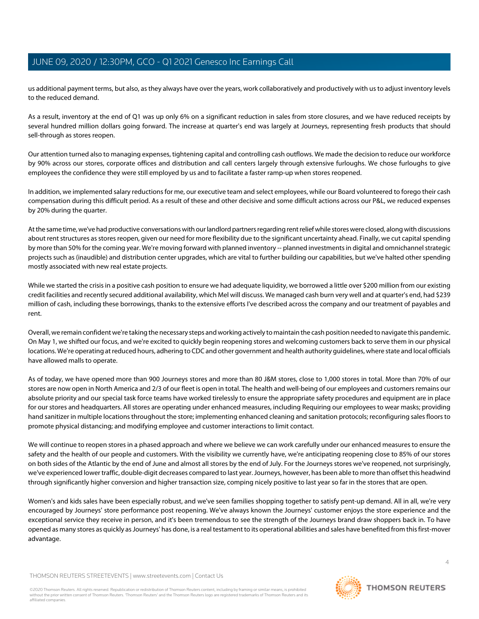us additional payment terms, but also, as they always have over the years, work collaboratively and productively with us to adjust inventory levels to the reduced demand.

As a result, inventory at the end of Q1 was up only 6% on a significant reduction in sales from store closures, and we have reduced receipts by several hundred million dollars going forward. The increase at quarter's end was largely at Journeys, representing fresh products that should sell-through as stores reopen.

Our attention turned also to managing expenses, tightening capital and controlling cash outflows. We made the decision to reduce our workforce by 90% across our stores, corporate offices and distribution and call centers largely through extensive furloughs. We chose furloughs to give employees the confidence they were still employed by us and to facilitate a faster ramp-up when stores reopened.

In addition, we implemented salary reductions for me, our executive team and select employees, while our Board volunteered to forego their cash compensation during this difficult period. As a result of these and other decisive and some difficult actions across our P&L, we reduced expenses by 20% during the quarter.

At the same time, we've had productive conversations with our landlord partners regarding rent relief while stores were closed, along with discussions about rent structures as stores reopen, given our need for more flexibility due to the significant uncertainty ahead. Finally, we cut capital spending by more than 50% for the coming year. We're moving forward with planned inventory -- planned investments in digital and omnichannel strategic projects such as (inaudible) and distribution center upgrades, which are vital to further building our capabilities, but we've halted other spending mostly associated with new real estate projects.

While we started the crisis in a positive cash position to ensure we had adequate liquidity, we borrowed a little over \$200 million from our existing credit facilities and recently secured additional availability, which Mel will discuss. We managed cash burn very well and at quarter's end, had \$239 million of cash, including these borrowings, thanks to the extensive efforts I've described across the company and our treatment of payables and rent.

Overall, we remain confident we're taking the necessary steps and working actively to maintain the cash position needed to navigate this pandemic. On May 1, we shifted our focus, and we're excited to quickly begin reopening stores and welcoming customers back to serve them in our physical locations. We're operating at reduced hours, adhering to CDC and other government and health authority guidelines, where state and local officials have allowed malls to operate.

As of today, we have opened more than 900 Journeys stores and more than 80 J&M stores, close to 1,000 stores in total. More than 70% of our stores are now open in North America and 2/3 of our fleet is open in total. The health and well-being of our employees and customers remains our absolute priority and our special task force teams have worked tirelessly to ensure the appropriate safety procedures and equipment are in place for our stores and headquarters. All stores are operating under enhanced measures, including Requiring our employees to wear masks; providing hand sanitizer in multiple locations throughout the store; implementing enhanced cleaning and sanitation protocols; reconfiguring sales floors to promote physical distancing; and modifying employee and customer interactions to limit contact.

We will continue to reopen stores in a phased approach and where we believe we can work carefully under our enhanced measures to ensure the safety and the health of our people and customers. With the visibility we currently have, we're anticipating reopening close to 85% of our stores on both sides of the Atlantic by the end of June and almost all stores by the end of July. For the Journeys stores we've reopened, not surprisingly, we've experienced lower traffic, double-digit decreases compared to last year. Journeys, however, has been able to more than offset this headwind through significantly higher conversion and higher transaction size, comping nicely positive to last year so far in the stores that are open.

Women's and kids sales have been especially robust, and we've seen families shopping together to satisfy pent-up demand. All in all, we're very encouraged by Journeys' store performance post reopening. We've always known the Journeys' customer enjoys the store experience and the exceptional service they receive in person, and it's been tremendous to see the strength of the Journeys brand draw shoppers back in. To have opened as many stores as quickly as Journeys' has done, is a real testament to its operational abilities and sales have benefited from this first-mover advantage.

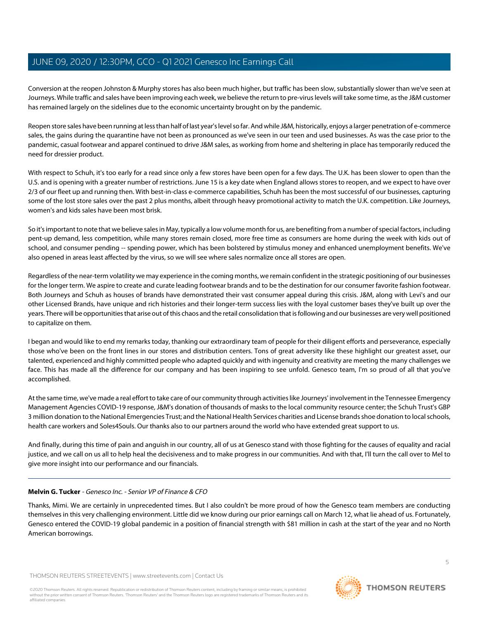Conversion at the reopen Johnston & Murphy stores has also been much higher, but traffic has been slow, substantially slower than we've seen at Journeys. While traffic and sales have been improving each week, we believe the return to pre-virus levels will take some time, as the J&M customer has remained largely on the sidelines due to the economic uncertainty brought on by the pandemic.

Reopen store sales have been running at less than half of last year's level so far. And while J&M, historically, enjoys a larger penetration of e-commerce sales, the gains during the quarantine have not been as pronounced as we've seen in our teen and used businesses. As was the case prior to the pandemic, casual footwear and apparel continued to drive J&M sales, as working from home and sheltering in place has temporarily reduced the need for dressier product.

With respect to Schuh, it's too early for a read since only a few stores have been open for a few days. The U.K. has been slower to open than the U.S. and is opening with a greater number of restrictions. June 15 is a key date when England allows stores to reopen, and we expect to have over 2/3 of our fleet up and running then. With best-in-class e-commerce capabilities, Schuh has been the most successful of our businesses, capturing some of the lost store sales over the past 2 plus months, albeit through heavy promotional activity to match the U.K. competition. Like Journeys, women's and kids sales have been most brisk.

So it's important to note that we believe sales in May, typically a low volume month for us, are benefiting from a number of special factors, including pent-up demand, less competition, while many stores remain closed, more free time as consumers are home during the week with kids out of school, and consumer pending -- spending power, which has been bolstered by stimulus money and enhanced unemployment benefits. We've also opened in areas least affected by the virus, so we will see where sales normalize once all stores are open.

Regardless of the near-term volatility we may experience in the coming months, we remain confident in the strategic positioning of our businesses for the longer term. We aspire to create and curate leading footwear brands and to be the destination for our consumer favorite fashion footwear. Both Journeys and Schuh as houses of brands have demonstrated their vast consumer appeal during this crisis. J&M, along with Levi's and our other Licensed Brands, have unique and rich histories and their longer-term success lies with the loyal customer bases they've built up over the years. There will be opportunities that arise out of this chaos and the retail consolidation that is following and our businesses are very well positioned to capitalize on them.

I began and would like to end my remarks today, thanking our extraordinary team of people for their diligent efforts and perseverance, especially those who've been on the front lines in our stores and distribution centers. Tons of great adversity like these highlight our greatest asset, our talented, experienced and highly committed people who adapted quickly and with ingenuity and creativity are meeting the many challenges we face. This has made all the difference for our company and has been inspiring to see unfold. Genesco team, I'm so proud of all that you've accomplished.

At the same time, we've made a real effort to take care of our community through activities like Journeys' involvement in the Tennessee Emergency Management Agencies COVID-19 response, J&M's donation of thousands of masks to the local community resource center; the Schuh Trust's GBP 3 million donation to the National Emergencies Trust; and the National Health Services charities and License brands shoe donation to local schools, health care workers and Soles4Souls. Our thanks also to our partners around the world who have extended great support to us.

<span id="page-4-0"></span>And finally, during this time of pain and anguish in our country, all of us at Genesco stand with those fighting for the causes of equality and racial justice, and we call on us all to help heal the decisiveness and to make progress in our communities. And with that, I'll turn the call over to Mel to give more insight into our performance and our financials.

## **Melvin G. Tucker** - Genesco Inc. - Senior VP of Finance & CFO

Thanks, Mimi. We are certainly in unprecedented times. But I also couldn't be more proud of how the Genesco team members are conducting themselves in this very challenging environment. Little did we know during our prior earnings call on March 12, what lie ahead of us. Fortunately, Genesco entered the COVID-19 global pandemic in a position of financial strength with \$81 million in cash at the start of the year and no North American borrowings.

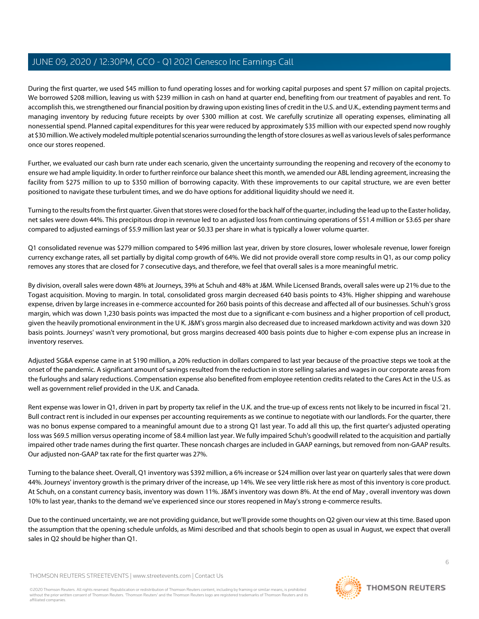During the first quarter, we used \$45 million to fund operating losses and for working capital purposes and spent \$7 million on capital projects. We borrowed \$208 million, leaving us with \$239 million in cash on hand at quarter end, benefiting from our treatment of payables and rent. To accomplish this, we strengthened our financial position by drawing upon existing lines of credit in the U.S. and U.K., extending payment terms and managing inventory by reducing future receipts by over \$300 million at cost. We carefully scrutinize all operating expenses, eliminating all nonessential spend. Planned capital expenditures for this year were reduced by approximately \$35 million with our expected spend now roughly at \$30 million. We actively modeled multiple potential scenarios surrounding the length of store closures as well as various levels of sales performance once our stores reopened.

Further, we evaluated our cash burn rate under each scenario, given the uncertainty surrounding the reopening and recovery of the economy to ensure we had ample liquidity. In order to further reinforce our balance sheet this month, we amended our ABL lending agreement, increasing the facility from \$275 million to up to \$350 million of borrowing capacity. With these improvements to our capital structure, we are even better positioned to navigate these turbulent times, and we do have options for additional liquidity should we need it.

Turning to the results from the first quarter. Given that stores were closed for the back half of the quarter, including the lead up to the Easter holiday, net sales were down 44%. This precipitous drop in revenue led to an adjusted loss from continuing operations of \$51.4 million or \$3.65 per share compared to adjusted earnings of \$5.9 million last year or \$0.33 per share in what is typically a lower volume quarter.

Q1 consolidated revenue was \$279 million compared to \$496 million last year, driven by store closures, lower wholesale revenue, lower foreign currency exchange rates, all set partially by digital comp growth of 64%. We did not provide overall store comp results in Q1, as our comp policy removes any stores that are closed for 7 consecutive days, and therefore, we feel that overall sales is a more meaningful metric.

By division, overall sales were down 48% at Journeys, 39% at Schuh and 48% at J&M. While Licensed Brands, overall sales were up 21% due to the Togast acquisition. Moving to margin. In total, consolidated gross margin decreased 640 basis points to 43%. Higher shipping and warehouse expense, driven by large increases in e-commerce accounted for 260 basis points of this decrease and affected all of our businesses. Schuh's gross margin, which was down 1,230 basis points was impacted the most due to a significant e-com business and a higher proportion of cell product, given the heavily promotional environment in the U K. J&M's gross margin also decreased due to increased markdown activity and was down 320 basis points. Journeys' wasn't very promotional, but gross margins decreased 400 basis points due to higher e-com expense plus an increase in inventory reserves.

Adjusted SG&A expense came in at \$190 million, a 20% reduction in dollars compared to last year because of the proactive steps we took at the onset of the pandemic. A significant amount of savings resulted from the reduction in store selling salaries and wages in our corporate areas from the furloughs and salary reductions. Compensation expense also benefited from employee retention credits related to the Cares Act in the U.S. as well as government relief provided in the U.K. and Canada.

Rent expense was lower in Q1, driven in part by property tax relief in the U.K. and the true-up of excess rents not likely to be incurred in fiscal '21. Bull contract rent is included in our expenses per accounting requirements as we continue to negotiate with our landlords. For the quarter, there was no bonus expense compared to a meaningful amount due to a strong Q1 last year. To add all this up, the first quarter's adjusted operating loss was \$69.5 million versus operating income of \$8.4 million last year. We fully impaired Schuh's goodwill related to the acquisition and partially impaired other trade names during the first quarter. These noncash charges are included in GAAP earnings, but removed from non-GAAP results. Our adjusted non-GAAP tax rate for the first quarter was 27%.

Turning to the balance sheet. Overall, Q1 inventory was \$392 million, a 6% increase or \$24 million over last year on quarterly sales that were down 44%. Journeys' inventory growth is the primary driver of the increase, up 14%. We see very little risk here as most of this inventory is core product. At Schuh, on a constant currency basis, inventory was down 11%. J&M's inventory was down 8%. At the end of May , overall inventory was down 10% to last year, thanks to the demand we've experienced since our stores reopened in May's strong e-commerce results.

Due to the continued uncertainty, we are not providing guidance, but we'll provide some thoughts on Q2 given our view at this time. Based upon the assumption that the opening schedule unfolds, as Mimi described and that schools begin to open as usual in August, we expect that overall sales in Q2 should be higher than Q1.

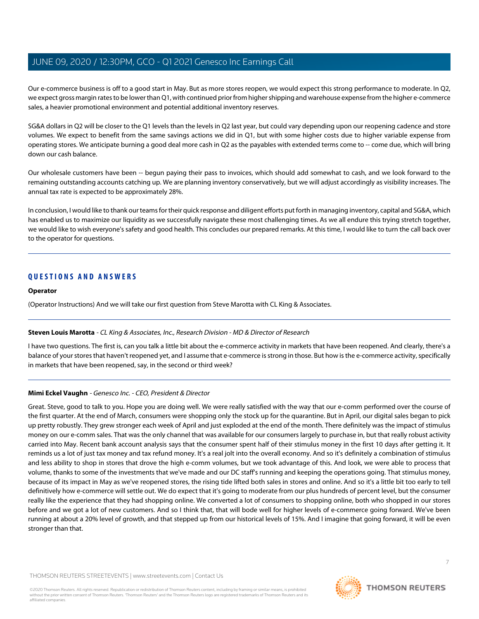Our e-commerce business is off to a good start in May. But as more stores reopen, we would expect this strong performance to moderate. In Q2, we expect gross margin rates to be lower than Q1, with continued prior from higher shipping and warehouse expense from the higher e-commerce sales, a heavier promotional environment and potential additional inventory reserves.

SG&A dollars in Q2 will be closer to the Q1 levels than the levels in Q2 last year, but could vary depending upon our reopening cadence and store volumes. We expect to benefit from the same savings actions we did in Q1, but with some higher costs due to higher variable expense from operating stores. We anticipate burning a good deal more cash in Q2 as the payables with extended terms come to -- come due, which will bring down our cash balance.

Our wholesale customers have been -- begun paying their pass to invoices, which should add somewhat to cash, and we look forward to the remaining outstanding accounts catching up. We are planning inventory conservatively, but we will adjust accordingly as visibility increases. The annual tax rate is expected to be approximately 28%.

In conclusion, I would like to thank our teams for their quick response and diligent efforts put forth in managing inventory, capital and SG&A, which has enabled us to maximize our liquidity as we successfully navigate these most challenging times. As we all endure this trying stretch together, we would like to wish everyone's safety and good health. This concludes our prepared remarks. At this time, I would like to turn the call back over to the operator for questions.

## **QUESTIONS AND ANSWERS**

## **Operator**

<span id="page-6-0"></span>(Operator Instructions) And we will take our first question from Steve Marotta with CL King & Associates.

## **Steven Louis Marotta** - CL King & Associates, Inc., Research Division - MD & Director of Research

I have two questions. The first is, can you talk a little bit about the e-commerce activity in markets that have been reopened. And clearly, there's a balance of your stores that haven't reopened yet, and I assume that e-commerce is strong in those. But how is the e-commerce activity, specifically in markets that have been reopened, say, in the second or third week?

## **Mimi Eckel Vaughn** - Genesco Inc. - CEO, President & Director

Great. Steve, good to talk to you. Hope you are doing well. We were really satisfied with the way that our e-comm performed over the course of the first quarter. At the end of March, consumers were shopping only the stock up for the quarantine. But in April, our digital sales began to pick up pretty robustly. They grew stronger each week of April and just exploded at the end of the month. There definitely was the impact of stimulus money on our e-comm sales. That was the only channel that was available for our consumers largely to purchase in, but that really robust activity carried into May. Recent bank account analysis says that the consumer spent half of their stimulus money in the first 10 days after getting it. It reminds us a lot of just tax money and tax refund money. It's a real jolt into the overall economy. And so it's definitely a combination of stimulus and less ability to shop in stores that drove the high e-comm volumes, but we took advantage of this. And look, we were able to process that volume, thanks to some of the investments that we've made and our DC staff's running and keeping the operations going. That stimulus money, because of its impact in May as we've reopened stores, the rising tide lifted both sales in stores and online. And so it's a little bit too early to tell definitively how e-commerce will settle out. We do expect that it's going to moderate from our plus hundreds of percent level, but the consumer really like the experience that they had shopping online. We converted a lot of consumers to shopping online, both who shopped in our stores before and we got a lot of new customers. And so I think that, that will bode well for higher levels of e-commerce going forward. We've been running at about a 20% level of growth, and that stepped up from our historical levels of 15%. And I imagine that going forward, it will be even stronger than that.

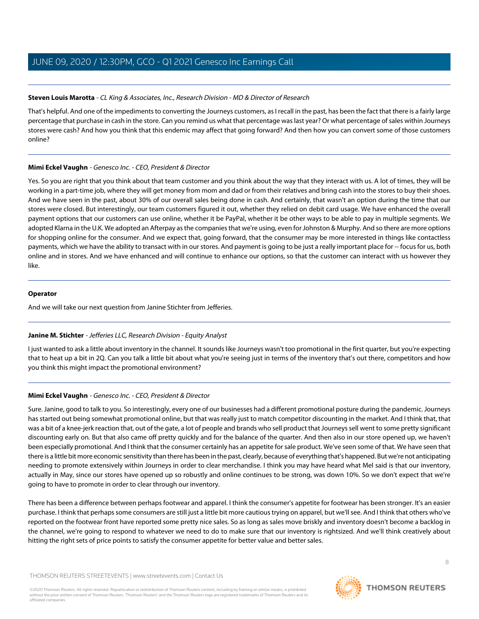## **Steven Louis Marotta** - CL King & Associates, Inc., Research Division - MD & Director of Research

That's helpful. And one of the impediments to converting the Journeys customers, as I recall in the past, has been the fact that there is a fairly large percentage that purchase in cash in the store. Can you remind us what that percentage was last year? Or what percentage of sales within Journeys stores were cash? And how you think that this endemic may affect that going forward? And then how you can convert some of those customers online?

## **Mimi Eckel Vaughn** - Genesco Inc. - CEO, President & Director

Yes. So you are right that you think about that team customer and you think about the way that they interact with us. A lot of times, they will be working in a part-time job, where they will get money from mom and dad or from their relatives and bring cash into the stores to buy their shoes. And we have seen in the past, about 30% of our overall sales being done in cash. And certainly, that wasn't an option during the time that our stores were closed. But interestingly, our team customers figured it out, whether they relied on debit card usage. We have enhanced the overall payment options that our customers can use online, whether it be PayPal, whether it be other ways to be able to pay in multiple segments. We adopted Klarna in the U.K. We adopted an Afterpay as the companies that we're using, even for Johnston & Murphy. And so there are more options for shopping online for the consumer. And we expect that, going forward, that the consumer may be more interested in things like contactless payments, which we have the ability to transact with in our stores. And payment is going to be just a really important place for -- focus for us, both online and in stores. And we have enhanced and will continue to enhance our options, so that the customer can interact with us however they like.

## **Operator**

<span id="page-7-0"></span>And we will take our next question from Janine Stichter from Jefferies.

## **Janine M. Stichter** - Jefferies LLC, Research Division - Equity Analyst

I just wanted to ask a little about inventory in the channel. It sounds like Journeys wasn't too promotional in the first quarter, but you're expecting that to heat up a bit in 2Q. Can you talk a little bit about what you're seeing just in terms of the inventory that's out there, competitors and how you think this might impact the promotional environment?

## **Mimi Eckel Vaughn** - Genesco Inc. - CEO, President & Director

Sure. Janine, good to talk to you. So interestingly, every one of our businesses had a different promotional posture during the pandemic. Journeys has started out being somewhat promotional online, but that was really just to match competitor discounting in the market. And I think that, that was a bit of a knee-jerk reaction that, out of the gate, a lot of people and brands who sell product that Journeys sell went to some pretty significant discounting early on. But that also came off pretty quickly and for the balance of the quarter. And then also in our store opened up, we haven't been especially promotional. And I think that the consumer certainly has an appetite for sale product. We've seen some of that. We have seen that there is a little bit more economic sensitivity than there has been in the past, clearly, because of everything that's happened. But we're not anticipating needing to promote extensively within Journeys in order to clear merchandise. I think you may have heard what Mel said is that our inventory, actually in May, since our stores have opened up so robustly and online continues to be strong, was down 10%. So we don't expect that we're going to have to promote in order to clear through our inventory.

There has been a difference between perhaps footwear and apparel. I think the consumer's appetite for footwear has been stronger. It's an easier purchase. I think that perhaps some consumers are still just a little bit more cautious trying on apparel, but we'll see. And I think that others who've reported on the footwear front have reported some pretty nice sales. So as long as sales move briskly and inventory doesn't become a backlog in the channel, we're going to respond to whatever we need to do to make sure that our inventory is rightsized. And we'll think creatively about hitting the right sets of price points to satisfy the consumer appetite for better value and better sales.

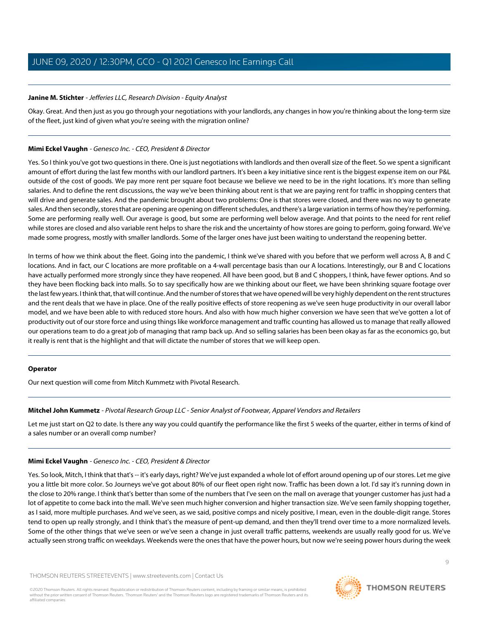## **Janine M. Stichter** - Jefferies LLC, Research Division - Equity Analyst

Okay. Great. And then just as you go through your negotiations with your landlords, any changes in how you're thinking about the long-term size of the fleet, just kind of given what you're seeing with the migration online?

## **Mimi Eckel Vaughn** - Genesco Inc. - CEO, President & Director

Yes. So I think you've got two questions in there. One is just negotiations with landlords and then overall size of the fleet. So we spent a significant amount of effort during the last few months with our landlord partners. It's been a key initiative since rent is the biggest expense item on our P&L outside of the cost of goods. We pay more rent per square foot because we believe we need to be in the right locations. It's more than selling salaries. And to define the rent discussions, the way we've been thinking about rent is that we are paying rent for traffic in shopping centers that will drive and generate sales. And the pandemic brought about two problems: One is that stores were closed, and there was no way to generate sales. And then secondly, stores that are opening are opening on different schedules, and there's a large variation in terms of how they're performing. Some are performing really well. Our average is good, but some are performing well below average. And that points to the need for rent relief while stores are closed and also variable rent helps to share the risk and the uncertainty of how stores are going to perform, going forward. We've made some progress, mostly with smaller landlords. Some of the larger ones have just been waiting to understand the reopening better.

In terms of how we think about the fleet. Going into the pandemic, I think we've shared with you before that we perform well across A, B and C locations. And in fact, our C locations are more profitable on a 4-wall percentage basis than our A locations. Interestingly, our B and C locations have actually performed more strongly since they have reopened. All have been good, but B and C shoppers, I think, have fewer options. And so they have been flocking back into malls. So to say specifically how are we thinking about our fleet, we have been shrinking square footage over the last few years. I think that, that will continue. And the number of stores that we have opened will be very highly dependent on the rent structures and the rent deals that we have in place. One of the really positive effects of store reopening as we've seen huge productivity in our overall labor model, and we have been able to with reduced store hours. And also with how much higher conversion we have seen that we've gotten a lot of productivity out of our store force and using things like workforce management and traffic counting has allowed us to manage that really allowed our operations team to do a great job of managing that ramp back up. And so selling salaries has been been okay as far as the economics go, but it really is rent that is the highlight and that will dictate the number of stores that we will keep open.

## <span id="page-8-0"></span>**Operator**

Our next question will come from Mitch Kummetz with Pivotal Research.

## **Mitchel John Kummetz** - Pivotal Research Group LLC - Senior Analyst of Footwear, Apparel Vendors and Retailers

Let me just start on Q2 to date. Is there any way you could quantify the performance like the first 5 weeks of the quarter, either in terms of kind of a sales number or an overall comp number?

## **Mimi Eckel Vaughn** - Genesco Inc. - CEO, President & Director

Yes. So look, Mitch, I think that that's -- it's early days, right? We've just expanded a whole lot of effort around opening up of our stores. Let me give you a little bit more color. So Journeys we've got about 80% of our fleet open right now. Traffic has been down a lot. I'd say it's running down in the close to 20% range. I think that's better than some of the numbers that I've seen on the mall on average that younger customer has just had a lot of appetite to come back into the mall. We've seen much higher conversion and higher transaction size. We've seen family shopping together, as I said, more multiple purchases. And we've seen, as we said, positive comps and nicely positive, I mean, even in the double-digit range. Stores tend to open up really strongly, and I think that's the measure of pent-up demand, and then they'll trend over time to a more normalized levels. Some of the other things that we've seen or we've seen a change in just overall traffic patterns, weekends are usually really good for us. We've actually seen strong traffic on weekdays. Weekends were the ones that have the power hours, but now we're seeing power hours during the week

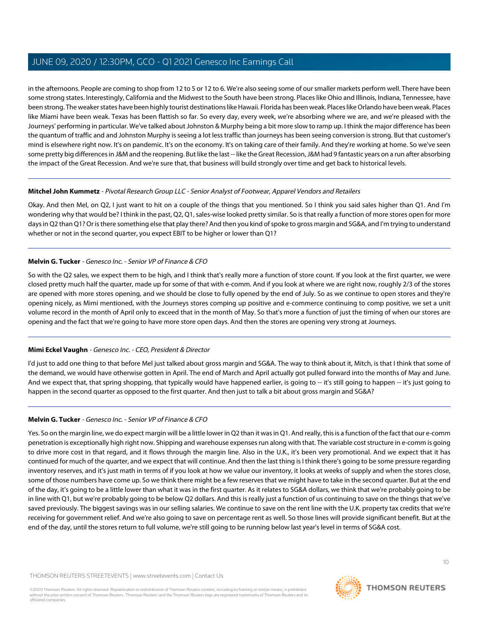in the afternoons. People are coming to shop from 12 to 5 or 12 to 6. We're also seeing some of our smaller markets perform well. There have been some strong states. Interestingly, California and the Midwest to the South have been strong. Places like Ohio and Illinois, Indiana, Tennessee, have been strong. The weaker states have been highly tourist destinations like Hawaii. Florida has been weak. Places like Orlando have been weak. Places like Miami have been weak. Texas has been flattish so far. So every day, every week, we're absorbing where we are, and we're pleased with the Journeys' performing in particular. We've talked about Johnston & Murphy being a bit more slow to ramp up. I think the major difference has been the quantum of traffic and and Johnston Murphy is seeing a lot less traffic than journeys has been seeing conversion is strong. But that customer's mind is elsewhere right now. It's on pandemic. It's on the economy. It's on taking care of their family. And they're working at home. So we've seen some pretty big differences in J&M and the reopening. But like the last -- like the Great Recession, J&M had 9 fantastic years on a run after absorbing the impact of the Great Recession. And we're sure that, that business will build strongly over time and get back to historical levels.

## **Mitchel John Kummetz** - Pivotal Research Group LLC - Senior Analyst of Footwear, Apparel Vendors and Retailers

Okay. And then Mel, on Q2, I just want to hit on a couple of the things that you mentioned. So I think you said sales higher than Q1. And I'm wondering why that would be? I think in the past, Q2, Q1, sales-wise looked pretty similar. So is that really a function of more stores open for more days in Q2 than Q1? Or is there something else that play there? And then you kind of spoke to gross margin and SG&A, and I'm trying to understand whether or not in the second quarter, you expect EBIT to be higher or lower than Q1?

## **Melvin G. Tucker** - Genesco Inc. - Senior VP of Finance & CFO

So with the Q2 sales, we expect them to be high, and I think that's really more a function of store count. If you look at the first quarter, we were closed pretty much half the quarter, made up for some of that with e-comm. And if you look at where we are right now, roughly 2/3 of the stores are opened with more stores opening, and we should be close to fully opened by the end of July. So as we continue to open stores and they're opening nicely, as Mimi mentioned, with the Journeys stores comping up positive and e-commerce continuing to comp positive, we set a unit volume record in the month of April only to exceed that in the month of May. So that's more a function of just the timing of when our stores are opening and the fact that we're going to have more store open days. And then the stores are opening very strong at Journeys.

## **Mimi Eckel Vaughn** - Genesco Inc. - CEO, President & Director

I'd just to add one thing to that before Mel just talked about gross margin and SG&A. The way to think about it, Mitch, is that I think that some of the demand, we would have otherwise gotten in April. The end of March and April actually got pulled forward into the months of May and June. And we expect that, that spring shopping, that typically would have happened earlier, is going to -- it's still going to happen -- it's just going to happen in the second quarter as opposed to the first quarter. And then just to talk a bit about gross margin and SG&A?

## **Melvin G. Tucker** - Genesco Inc. - Senior VP of Finance & CFO

Yes. So on the margin line, we do expect margin will be a little lower in Q2 than it was in Q1. And really, this is a function of the fact that our e-comm penetration is exceptionally high right now. Shipping and warehouse expenses run along with that. The variable cost structure in e-comm is going to drive more cost in that regard, and it flows through the margin line. Also in the U.K., it's been very promotional. And we expect that it has continued for much of the quarter, and we expect that will continue. And then the last thing is I think there's going to be some pressure regarding inventory reserves, and it's just math in terms of if you look at how we value our inventory, it looks at weeks of supply and when the stores close, some of those numbers have come up. So we think there might be a few reserves that we might have to take in the second quarter. But at the end of the day, it's going to be a little lower than what it was in the first quarter. As it relates to SG&A dollars, we think that we're probably going to be in line with Q1, but we're probably going to be below Q2 dollars. And this is really just a function of us continuing to save on the things that we've saved previously. The biggest savings was in our selling salaries. We continue to save on the rent line with the U.K. property tax credits that we're receiving for government relief. And we're also going to save on percentage rent as well. So those lines will provide significant benefit. But at the end of the day, until the stores return to full volume, we're still going to be running below last year's level in terms of SG&A cost.

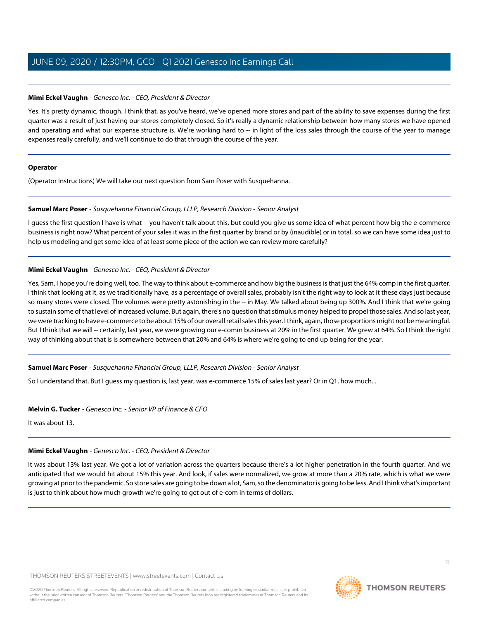## **Mimi Eckel Vaughn** - Genesco Inc. - CEO, President & Director

Yes. It's pretty dynamic, though. I think that, as you've heard, we've opened more stores and part of the ability to save expenses during the first quarter was a result of just having our stores completely closed. So it's really a dynamic relationship between how many stores we have opened and operating and what our expense structure is. We're working hard to -- in light of the loss sales through the course of the year to manage expenses really carefully, and we'll continue to do that through the course of the year.

## **Operator**

<span id="page-10-0"></span>(Operator Instructions) We will take our next question from Sam Poser with Susquehanna.

## **Samuel Marc Poser** - Susquehanna Financial Group, LLLP, Research Division - Senior Analyst

I quess the first question I have is what -- you haven't talk about this, but could you give us some idea of what percent how big the e-commerce business is right now? What percent of your sales it was in the first quarter by brand or by (inaudible) or in total, so we can have some idea just to help us modeling and get some idea of at least some piece of the action we can review more carefully?

## **Mimi Eckel Vaughn** - Genesco Inc. - CEO, President & Director

Yes, Sam, I hope you're doing well, too. The way to think about e-commerce and how big the business is that just the 64% comp in the first quarter. I think that looking at it, as we traditionally have, as a percentage of overall sales, probably isn't the right way to look at it these days just because so many stores were closed. The volumes were pretty astonishing in the -- in May. We talked about being up 300%. And I think that we're going to sustain some of that level of increased volume. But again, there's no question that stimulus money helped to propel those sales. And so last year, we were tracking to have e-commerce to be about 15% of our overall retail sales this year. I think, again, those proportions might not be meaningful. But I think that we will -- certainly, last year, we were growing our e-comm business at 20% in the first quarter. We grew at 64%. So I think the right way of thinking about that is is somewhere between that 20% and 64% is where we're going to end up being for the year.

## **Samuel Marc Poser** - Susquehanna Financial Group, LLLP, Research Division - Senior Analyst

So I understand that. But I guess my question is, last year, was e-commerce 15% of sales last year? Or in Q1, how much...

## **Melvin G. Tucker** - Genesco Inc. - Senior VP of Finance & CFO

It was about 13.

## **Mimi Eckel Vaughn** - Genesco Inc. - CEO, President & Director

It was about 13% last year. We got a lot of variation across the quarters because there's a lot higher penetration in the fourth quarter. And we anticipated that we would hit about 15% this year. And look, if sales were normalized, we grow at more than a 20% rate, which is what we were growing at prior to the pandemic. So store sales are going to be down a lot, Sam, so the denominator is going to be less. And I think what's important is just to think about how much growth we're going to get out of e-com in terms of dollars.

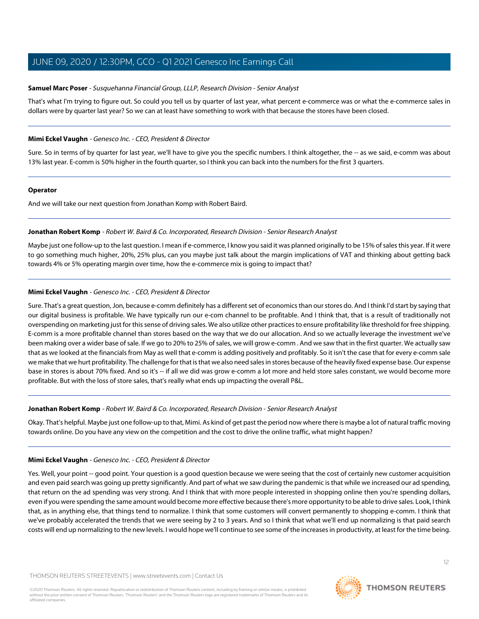## **Samuel Marc Poser** - Susquehanna Financial Group, LLLP, Research Division - Senior Analyst

That's what I'm trying to figure out. So could you tell us by quarter of last year, what percent e-commerce was or what the e-commerce sales in dollars were by quarter last year? So we can at least have something to work with that because the stores have been closed.

## **Mimi Eckel Vaughn** - Genesco Inc. - CEO, President & Director

Sure. So in terms of by quarter for last year, we'll have to give you the specific numbers. I think altogether, the -- as we said, e-comm was about 13% last year. E-comm is 50% higher in the fourth quarter, so I think you can back into the numbers for the first 3 quarters.

## **Operator**

<span id="page-11-0"></span>And we will take our next question from Jonathan Komp with Robert Baird.

## **Jonathan Robert Komp** - Robert W. Baird & Co. Incorporated, Research Division - Senior Research Analyst

Maybe just one follow-up to the last question. I mean if e-commerce, I know you said it was planned originally to be 15% of sales this year. If it were to go something much higher, 20%, 25% plus, can you maybe just talk about the margin implications of VAT and thinking about getting back towards 4% or 5% operating margin over time, how the e-commerce mix is going to impact that?

## **Mimi Eckel Vaughn** - Genesco Inc. - CEO, President & Director

Sure. That's a great question, Jon, because e-comm definitely has a different set of economics than our stores do. And I think I'd start by saying that our digital business is profitable. We have typically run our e-com channel to be profitable. And I think that, that is a result of traditionally not overspending on marketing just for this sense of driving sales. We also utilize other practices to ensure profitability like threshold for free shipping. E-comm is a more profitable channel than stores based on the way that we do our allocation. And so we actually leverage the investment we've been making over a wider base of sale. If we go to 20% to 25% of sales, we will grow e-comm . And we saw that in the first quarter. We actually saw that as we looked at the financials from May as well that e-comm is adding positively and profitably. So it isn't the case that for every e-comm sale we make that we hurt profitability. The challenge for that is that we also need sales in stores because of the heavily fixed expense base. Our expense base in stores is about 70% fixed. And so it's -- if all we did was grow e-comm a lot more and held store sales constant, we would become more profitable. But with the loss of store sales, that's really what ends up impacting the overall P&L.

## **Jonathan Robert Komp** - Robert W. Baird & Co. Incorporated, Research Division - Senior Research Analyst

Okay. That's helpful. Maybe just one follow-up to that, Mimi. As kind of get past the period now where there is maybe a lot of natural traffic moving towards online. Do you have any view on the competition and the cost to drive the online traffic, what might happen?

## **Mimi Eckel Vaughn** - Genesco Inc. - CEO, President & Director

Yes. Well, your point -- good point. Your question is a good question because we were seeing that the cost of certainly new customer acquisition and even paid search was going up pretty significantly. And part of what we saw during the pandemic is that while we increased our ad spending, that return on the ad spending was very strong. And I think that with more people interested in shopping online then you're spending dollars, even if you were spending the same amount would become more effective because there's more opportunity to be able to drive sales. Look, I think that, as in anything else, that things tend to normalize. I think that some customers will convert permanently to shopping e-comm. I think that we've probably accelerated the trends that we were seeing by 2 to 3 years. And so I think that what we'll end up normalizing is that paid search costs will end up normalizing to the new levels. I would hope we'll continue to see some of the increases in productivity, at least for the time being.

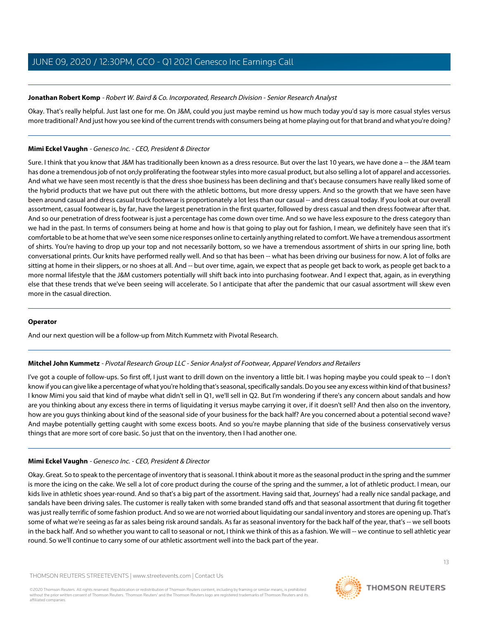## **Jonathan Robert Komp** - Robert W. Baird & Co. Incorporated, Research Division - Senior Research Analyst

Okay. That's really helpful. Just last one for me. On J&M, could you just maybe remind us how much today you'd say is more casual styles versus more traditional? And just how you see kind of the current trends with consumers being at home playing out for that brand and what you're doing?

## **Mimi Eckel Vaughn** - Genesco Inc. - CEO, President & Director

Sure. I think that you know that J&M has traditionally been known as a dress resource. But over the last 10 years, we have done a -- the J&M team has done a tremendous job of not on;ly proliferating the footwear styles into more casual product, but also selling a lot of apparel and accessories. And what we have seen most recently is that the dress shoe business has been declining and that's because consumers have really liked some of the hybrid products that we have put out there with the athletic bottoms, but more dressy uppers. And so the growth that we have seen have been around casual and dress casual truck footwear is proportionately a lot less than our casual -- and dress casual today. If you look at our overall assortment, casual footwear is, by far, have the largest penetration in the first quarter, followed by dress casual and then dress footwear after that. And so our penetration of dress footwear is just a percentage has come down over time. And so we have less exposure to the dress category than we had in the past. In terms of consumers being at home and how is that going to play out for fashion, I mean, we definitely have seen that it's comfortable to be at home that we've seen some nice responses online to certainly anything related to comfort. We have a tremendous assortment of shirts. You're having to drop up your top and not necessarily bottom, so we have a tremendous assortment of shirts in our spring line, both conversational prints. Our knits have performed really well. And so that has been -- what has been driving our business for now. A lot of folks are sitting at home in their slippers, or no shoes at all. And -- but over time, again, we expect that as people get back to work, as people get back to a more normal lifestyle that the J&M customers potentially will shift back into into purchasing footwear. And I expect that, again, as in everything else that these trends that we've been seeing will accelerate. So I anticipate that after the pandemic that our casual assortment will skew even more in the casual direction.

## **Operator**

And our next question will be a follow-up from Mitch Kummetz with Pivotal Research.

## **Mitchel John Kummetz** - Pivotal Research Group LLC - Senior Analyst of Footwear, Apparel Vendors and Retailers

I've got a couple of follow-ups. So first off, I just want to drill down on the inventory a little bit. I was hoping maybe you could speak to -- I don't know if you can give like a percentage of what you're holding that's seasonal, specifically sandals. Do you see any excess within kind of that business? I know Mimi you said that kind of maybe what didn't sell in Q1, we'll sell in Q2. But I'm wondering if there's any concern about sandals and how are you thinking about any excess there in terms of liquidating it versus maybe carrying it over, if it doesn't sell? And then also on the inventory, how are you guys thinking about kind of the seasonal side of your business for the back half? Are you concerned about a potential second wave? And maybe potentially getting caught with some excess boots. And so you're maybe planning that side of the business conservatively versus things that are more sort of core basic. So just that on the inventory, then I had another one.

## **Mimi Eckel Vaughn** - Genesco Inc. - CEO, President & Director

Okay. Great. So to speak to the percentage of inventory that is seasonal. I think about it more as the seasonal product in the spring and the summer is more the icing on the cake. We sell a lot of core product during the course of the spring and the summer, a lot of athletic product. I mean, our kids live in athletic shoes year-round. And so that's a big part of the assortment. Having said that, Journeys' had a really nice sandal package, and sandals have been driving sales. The customer is really taken with some branded stand offs and that seasonal assortment that during fit together was just really terrific of some fashion product. And so we are not worried about liquidating our sandal inventory and stores are opening up. That's some of what we're seeing as far as sales being risk around sandals. As far as seasonal inventory for the back half of the year, that's -- we sell boots in the back half. And so whether you want to call to seasonal or not, I think we think of this as a fashion. We will -- we continue to sell athletic year round. So we'll continue to carry some of our athletic assortment well into the back part of the year.